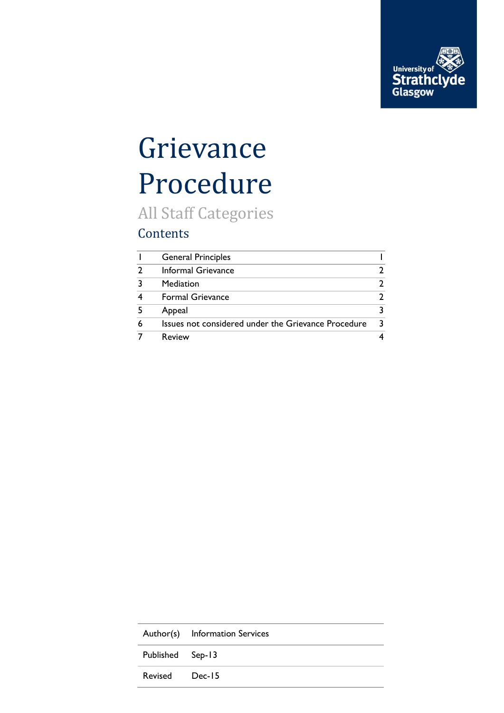

## Grievance Procedure

All Staff Categories

#### Contents

|               | <b>General Principles</b>                           |   |
|---------------|-----------------------------------------------------|---|
| $\mathcal{P}$ | Informal Grievance                                  |   |
| 3             | Mediation                                           |   |
|               | <b>Formal Grievance</b>                             |   |
| -5            | Appeal                                              |   |
| 6             | Issues not considered under the Grievance Procedure | २ |
|               | Review                                              |   |

|                  | Author(s) Information Services |
|------------------|--------------------------------|
| Published Sep-13 |                                |
| Revised Dec-15   |                                |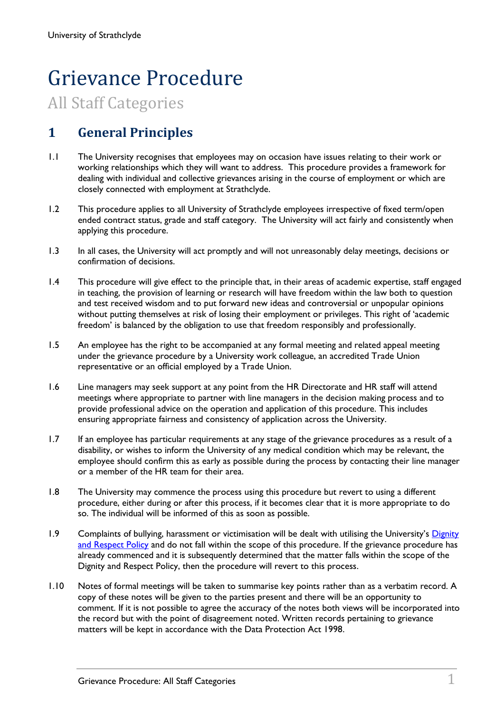# Grievance Procedure

### All Staff Categories

#### <span id="page-1-0"></span>**1 General Principles**

- 1.1 The University recognises that employees may on occasion have issues relating to their work or working relationships which they will want to address. This procedure provides a framework for dealing with individual and collective grievances arising in the course of employment or which are closely connected with employment at Strathclyde.
- 1.2 This procedure applies to all University of Strathclyde employees irrespective of fixed term/open ended contract status, grade and staff category. The University will act fairly and consistently when applying this procedure.
- 1.3 In all cases, the University will act promptly and will not unreasonably delay meetings, decisions or confirmation of decisions.
- 1.4 This procedure will give effect to the principle that, in their areas of academic expertise, staff engaged in teaching, the provision of learning or research will have freedom within the law both to question and test received wisdom and to put forward new ideas and controversial or unpopular opinions without putting themselves at risk of losing their employment or privileges. This right of 'academic freedom' is balanced by the obligation to use that freedom responsibly and professionally.
- 1.5 An employee has the right to be accompanied at any formal meeting and related appeal meeting under the grievance procedure by a University work colleague, an accredited Trade Union representative or an official employed by a Trade Union.
- 1.6 Line managers may seek support at any point from the HR Directorate and HR staff will attend meetings where appropriate to partner with line managers in the decision making process and to provide professional advice on the operation and application of this procedure. This includes ensuring appropriate fairness and consistency of application across the University.
- 1.7 If an employee has particular requirements at any stage of the grievance procedures as a result of a disability, or wishes to inform the University of any medical condition which may be relevant, the employee should confirm this as early as possible during the process by contacting their line manager or a member of the HR team for their area.
- 1.8 The University may commence the process using this procedure but revert to using a different procedure, either during or after this process, if it becomes clear that it is more appropriate to do so. The individual will be informed of this as soon as possible.
- 1.9 Complaints of bullying, harassment or victimisation will be dealt with utilising the University's Dignity [and Respect Policy](https://www.strath.ac.uk/media/ps/humanresources/policies/DignityandRespectPolicy.pdf) and do not fall within the scope of this procedure. If the grievance procedure has already commenced and it is subsequently determined that the matter falls within the scope of the Dignity and Respect Policy, then the procedure will revert to this process.
- 1.10 Notes of formal meetings will be taken to summarise key points rather than as a verbatim record. A copy of these notes will be given to the parties present and there will be an opportunity to comment. If it is not possible to agree the accuracy of the notes both views will be incorporated into the record but with the point of disagreement noted. Written records pertaining to grievance matters will be kept in accordance with the Data Protection Act 1998.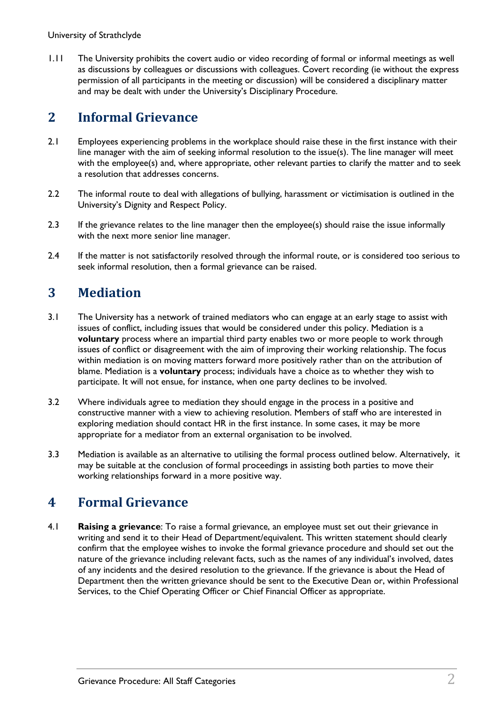1.11 The University prohibits the covert audio or video recording of formal or informal meetings as well as discussions by colleagues or discussions with colleagues. Covert recording (ie without the express permission of all participants in the meeting or discussion) will be considered a disciplinary matter and may be dealt with under the University's Disciplinary Procedure.

#### <span id="page-2-0"></span>**2 Informal Grievance**

- 2.1 Employees experiencing problems in the workplace should raise these in the first instance with their line manager with the aim of seeking informal resolution to the issue(s). The line manager will meet with the employee(s) and, where appropriate, other relevant parties to clarify the matter and to seek a resolution that addresses concerns.
- 2.2 The informal route to deal with allegations of bullying, harassment or victimisation is outlined in the University's Dignity and Respect Policy.
- 2.3 If the grievance relates to the line manager then the employee(s) should raise the issue informally with the next more senior line manager.
- 2.4 If the matter is not satisfactorily resolved through the informal route, or is considered too serious to seek informal resolution, then a formal grievance can be raised.

#### <span id="page-2-1"></span>**3 Mediation**

- 3.1 The University has a network of trained mediators who can engage at an early stage to assist with issues of conflict, including issues that would be considered under this policy. Mediation is a **voluntary** process where an impartial third party enables two or more people to work through issues of conflict or disagreement with the aim of improving their working relationship. The focus within mediation is on moving matters forward more positively rather than on the attribution of blame. Mediation is a **voluntary** process; individuals have a choice as to whether they wish to participate. It will not ensue, for instance, when one party declines to be involved.
- 3.2 Where individuals agree to mediation they should engage in the process in a positive and constructive manner with a view to achieving resolution. Members of staff who are interested in exploring mediation should contact HR in the first instance. In some cases, it may be more appropriate for a mediator from an external organisation to be involved.
- 3.3 Mediation is available as an alternative to utilising the formal process outlined below. Alternatively, it may be suitable at the conclusion of formal proceedings in assisting both parties to move their working relationships forward in a more positive way.

#### <span id="page-2-2"></span>**4 Formal Grievance**

4.1 **Raising a grievance**: To raise a formal grievance, an employee must set out their grievance in writing and send it to their Head of Department/equivalent. This written statement should clearly confirm that the employee wishes to invoke the formal grievance procedure and should set out the nature of the grievance including relevant facts, such as the names of any individual's involved, dates of any incidents and the desired resolution to the grievance. If the grievance is about the Head of Department then the written grievance should be sent to the Executive Dean or, within Professional Services, to the Chief Operating Officer or Chief Financial Officer as appropriate.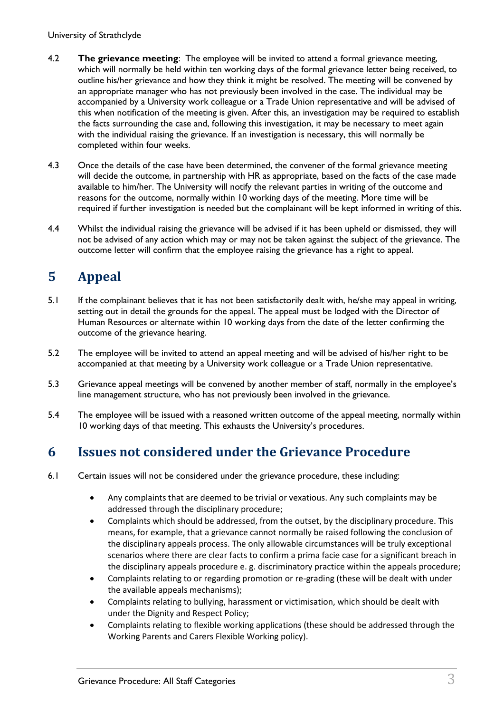University of Strathclyde

- 4.2 **The grievance meeting**: The employee will be invited to attend a formal grievance meeting, which will normally be held within ten working days of the formal grievance letter being received, to outline his/her grievance and how they think it might be resolved. The meeting will be convened by an appropriate manager who has not previously been involved in the case. The individual may be accompanied by a University work colleague or a Trade Union representative and will be advised of this when notification of the meeting is given. After this, an investigation may be required to establish the facts surrounding the case and, following this investigation, it may be necessary to meet again with the individual raising the grievance. If an investigation is necessary, this will normally be completed within four weeks.
- 4.3 Once the details of the case have been determined, the convener of the formal grievance meeting will decide the outcome, in partnership with HR as appropriate, based on the facts of the case made available to him/her. The University will notify the relevant parties in writing of the outcome and reasons for the outcome, normally within 10 working days of the meeting. More time will be required if further investigation is needed but the complainant will be kept informed in writing of this.
- 4.4 Whilst the individual raising the grievance will be advised if it has been upheld or dismissed, they will not be advised of any action which may or may not be taken against the subject of the grievance. The outcome letter will confirm that the employee raising the grievance has a right to appeal.

#### <span id="page-3-0"></span>**5 Appeal**

- 5.1 If the complainant believes that it has not been satisfactorily dealt with, he/she may appeal in writing, setting out in detail the grounds for the appeal. The appeal must be lodged with the Director of Human Resources or alternate within 10 working days from the date of the letter confirming the outcome of the grievance hearing.
- 5.2 The employee will be invited to attend an appeal meeting and will be advised of his/her right to be accompanied at that meeting by a University work colleague or a Trade Union representative.
- 5.3 Grievance appeal meetings will be convened by another member of staff, normally in the employee's line management structure, who has not previously been involved in the grievance.
- 5.4 The employee will be issued with a reasoned written outcome of the appeal meeting, normally within 10 working days of that meeting. This exhausts the University's procedures.

#### <span id="page-3-1"></span>**6 Issues not considered under the Grievance Procedure**

- 6.1 Certain issues will not be considered under the grievance procedure, these including:
	- Any complaints that are deemed to be trivial or vexatious. Any such complaints may be addressed through the disciplinary procedure;
	- Complaints which should be addressed, from the outset, by the disciplinary procedure. This means, for example, that a grievance cannot normally be raised following the conclusion of the disciplinary appeals process. The only allowable circumstances will be truly exceptional scenarios where there are clear facts to confirm a prima facie case for a significant breach in the disciplinary appeals procedure e. g. discriminatory practice within the appeals procedure;
	- Complaints relating to or regarding promotion or re-grading (these will be dealt with under the available appeals mechanisms);
	- Complaints relating to bullying, harassment or victimisation, which should be dealt with under the Dignity and Respect Policy;
	- Complaints relating to flexible working applications (these should be addressed through the Working Parents and Carers Flexible Working policy).